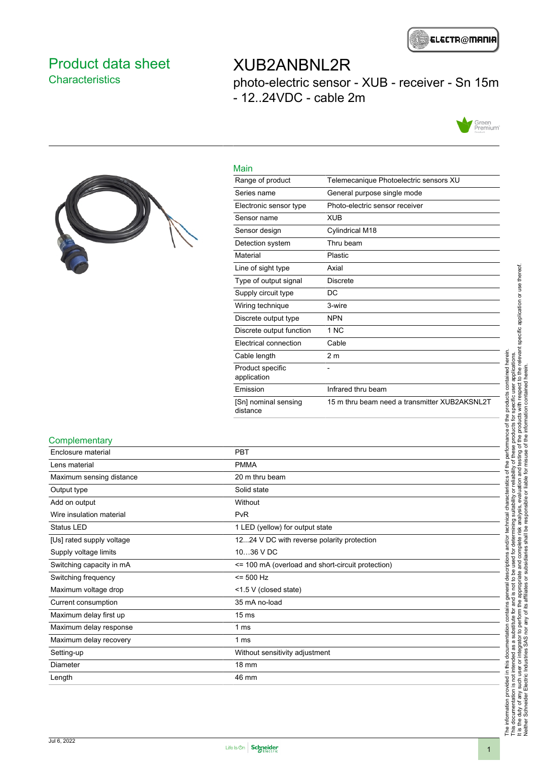

### <span id="page-0-0"></span>Product data sheet **Characteristics**

## XUB2ANBNL2R

photo-electric sensor - XUB - receiver - Sn 15m - 12..24VDC - cable 2m





| Main                             |                                               |
|----------------------------------|-----------------------------------------------|
| Range of product                 | Telemecanique Photoelectric sensors XU        |
| Series name                      | General purpose single mode                   |
| Electronic sensor type           | Photo-electric sensor receiver                |
| Sensor name                      | <b>XUB</b>                                    |
| Sensor design                    | Cylindrical M18                               |
| Detection system                 | Thru beam                                     |
| Material                         | Plastic                                       |
| Line of sight type               | Axial                                         |
| Type of output signal            | <b>Discrete</b>                               |
| Supply circuit type              | DC                                            |
| Wiring technique                 | 3-wire                                        |
| Discrete output type             | <b>NPN</b>                                    |
| Discrete output function         | 1 NC                                          |
| Electrical connection            | Cable                                         |
| Cable length                     | 2 <sub>m</sub>                                |
| Product specific<br>application  |                                               |
| Emission                         | Infrared thru beam                            |
| [Sn] nominal sensing<br>distance | 15 m thru beam need a transmitter XUB2AKSNL2T |

#### **Complementary**

| Enclosure material        | <b>PBT</b>                                        |
|---------------------------|---------------------------------------------------|
| Lens material             | <b>PMMA</b>                                       |
| Maximum sensing distance  | 20 m thru beam                                    |
| Output type               | Solid state                                       |
| Add on output             | Without                                           |
| Wire insulation material  | PvR                                               |
| <b>Status LED</b>         | 1 LED (yellow) for output state                   |
| [Us] rated supply voltage | 1224 V DC with reverse polarity protection        |
| Supply voltage limits     | 1036 V DC                                         |
| Switching capacity in mA  | <= 100 mA (overload and short-circuit protection) |
| Switching frequency       | $= 500$ Hz                                        |
| Maximum voltage drop      | <1.5 V (closed state)                             |
| Current consumption       | 35 mA no-load                                     |
| Maximum delay first up    | 15 <sub>ms</sub>                                  |
| Maximum delay response    | 1 ms                                              |
| Maximum delay recovery    | 1 ms                                              |
| Setting-up                | Without sensitivity adjustment                    |
| Diameter                  | $18 \text{ mm}$                                   |
| Length                    | 46 mm                                             |
|                           |                                                   |

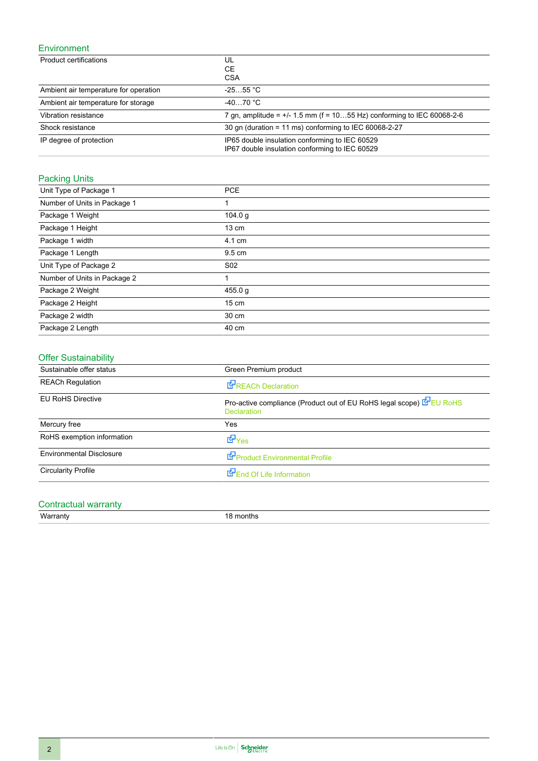### Environment

| Product certifications                | UL<br>CЕ<br><b>CSA</b>                                                                           |
|---------------------------------------|--------------------------------------------------------------------------------------------------|
| Ambient air temperature for operation | $-2555$ °C                                                                                       |
| Ambient air temperature for storage   | $-4070 °C$                                                                                       |
| Vibration resistance                  | 7 gn, amplitude = $+/$ 1.5 mm (f = 1055 Hz) conforming to IEC 60068-2-6                          |
| Shock resistance                      | 30 gn (duration = 11 ms) conforming to IEC 60068-2-27                                            |
| IP degree of protection               | IP65 double insulation conforming to IEC 60529<br>IP67 double insulation conforming to IEC 60529 |

### Packing Units

| Unit Type of Package 1       | <b>PCE</b>      |
|------------------------------|-----------------|
| Number of Units in Package 1 | 1               |
| Package 1 Weight             | 104.0 g         |
| Package 1 Height             | $13 \text{ cm}$ |
| Package 1 width              | 4.1 cm          |
| Package 1 Length             | 9.5 cm          |
| Unit Type of Package 2       | S <sub>02</sub> |
| Number of Units in Package 2 | 1               |
| Package 2 Weight             | 455.0 g         |
| Package 2 Height             | $15 \text{ cm}$ |
| Package 2 width              | 30 cm           |
| Package 2 Length             | 40 cm           |

### Offer Sustainability

| Sustainable offer status        | Green Premium product                                                                      |
|---------------------------------|--------------------------------------------------------------------------------------------|
| <b>REACh Regulation</b>         | REACh Declaration                                                                          |
| <b>EU RoHS Directive</b>        | Pro-active compliance (Product out of EU RoHS legal scope) EPEU RoHS<br><b>Declaration</b> |
| Mercury free                    | Yes                                                                                        |
| RoHS exemption information      | dor <sub>Yes</sub>                                                                         |
| <b>Environmental Disclosure</b> | Product Environmental Profile                                                              |
| <b>Circularity Profile</b>      | End Of Life Information                                                                    |

## Contractual warranty

Warranty 18 months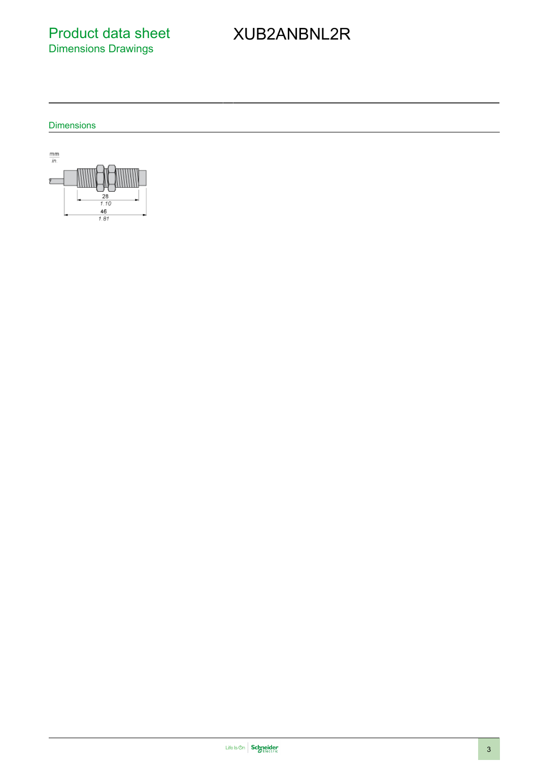Product data sheet Dimensions Drawings

# XUB2ANBNL2R

**Dimensions** 

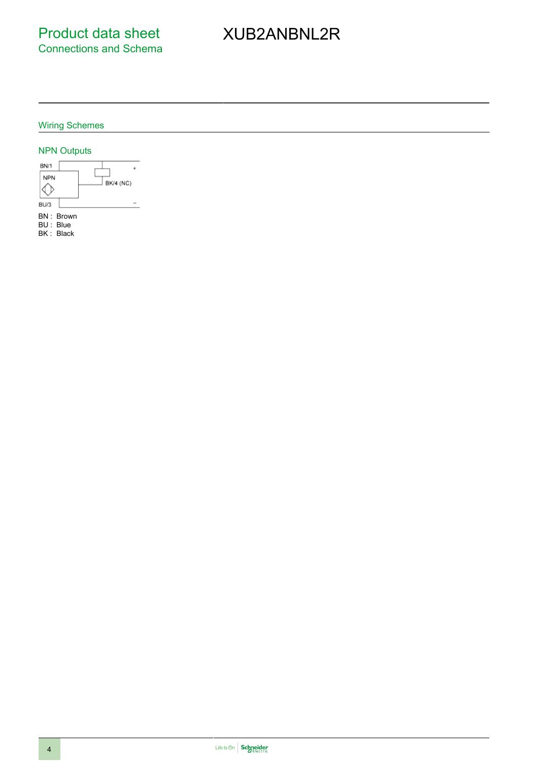# XUB2ANBNL2R

#### Wiring Schemes

#### NPN Outputs